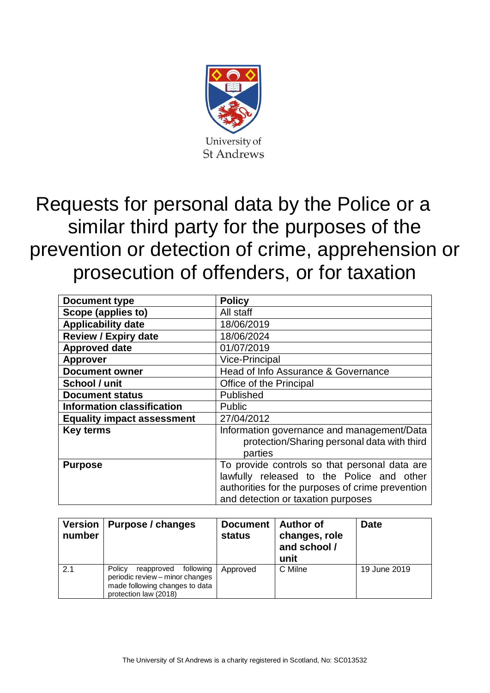

# Requests for personal data by the Police or a similar third party for the purposes of the prevention or detection of crime, apprehension or prosecution of offenders, or for taxation

| <b>Document type</b>              | <b>Policy</b>                                                                                                                                                                        |
|-----------------------------------|--------------------------------------------------------------------------------------------------------------------------------------------------------------------------------------|
| Scope (applies to)                | All staff                                                                                                                                                                            |
| <b>Applicability date</b>         | 18/06/2019                                                                                                                                                                           |
| <b>Review / Expiry date</b>       | 18/06/2024                                                                                                                                                                           |
| <b>Approved date</b>              | 01/07/2019                                                                                                                                                                           |
| <b>Approver</b>                   | <b>Vice-Principal</b>                                                                                                                                                                |
| <b>Document owner</b>             | Head of Info Assurance & Governance                                                                                                                                                  |
| School / unit                     | Office of the Principal                                                                                                                                                              |
| <b>Document status</b>            | Published                                                                                                                                                                            |
| <b>Information classification</b> | <b>Public</b>                                                                                                                                                                        |
| <b>Equality impact assessment</b> | 27/04/2012                                                                                                                                                                           |
| <b>Key terms</b>                  | Information governance and management/Data<br>protection/Sharing personal data with third<br>parties                                                                                 |
| <b>Purpose</b>                    | To provide controls so that personal data are<br>lawfully released to the Police and other<br>authorities for the purposes of crime prevention<br>and detection or taxation purposes |

| <b>Version</b><br>number | Purpose / changes                                                                                                            | <b>Document</b><br><b>status</b> | <b>Author of</b><br>changes, role<br>and school /<br>unit | <b>Date</b>  |
|--------------------------|------------------------------------------------------------------------------------------------------------------------------|----------------------------------|-----------------------------------------------------------|--------------|
| 2.1                      | Policy<br>reapproved following<br>periodic review - minor changes<br>made following changes to data<br>protection law (2018) | Approved                         | C Milne                                                   | 19 June 2019 |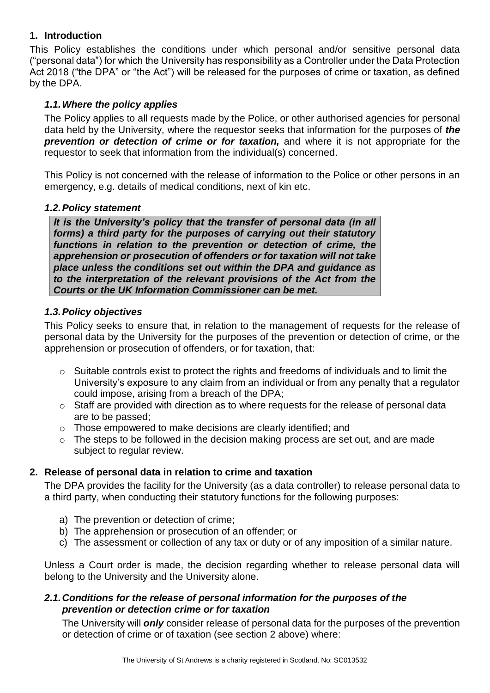# **1. Introduction**

This Policy establishes the conditions under which personal and/or sensitive personal data ("personal data") for which the University has responsibility as a Controller under the Data Protection Act 2018 ("the DPA" or "the Act") will be released for the purposes of crime or taxation, as defined by the DPA.

# *1.1.Where the policy applies*

The Policy applies to all requests made by the Police, or other authorised agencies for personal data held by the University, where the requestor seeks that information for the purposes of *the prevention or detection of crime or for taxation,* and where it is not appropriate for the requestor to seek that information from the individual(s) concerned.

This Policy is not concerned with the release of information to the Police or other persons in an emergency, e.g. details of medical conditions, next of kin etc.

# *1.2.Policy statement*

*It is the University's policy that the transfer of personal data (in all forms) a third party for the purposes of carrying out their statutory functions in relation to the prevention or detection of crime, the apprehension or prosecution of offenders or for taxation will not take place unless the conditions set out within the DPA and guidance as to the interpretation of the relevant provisions of the Act from the Courts or the UK Information Commissioner can be met.* 

# *1.3.Policy objectives*

This Policy seeks to ensure that, in relation to the management of requests for the release of personal data by the University for the purposes of the prevention or detection of crime, or the apprehension or prosecution of offenders, or for taxation, that:

- $\circ$  Suitable controls exist to protect the rights and freedoms of individuals and to limit the University's exposure to any claim from an individual or from any penalty that a regulator could impose, arising from a breach of the DPA;
- o Staff are provided with direction as to where requests for the release of personal data are to be passed;
- o Those empowered to make decisions are clearly identified; and
- $\circ$  The steps to be followed in the decision making process are set out, and are made subject to regular review.

# **2. Release of personal data in relation to crime and taxation**

The DPA provides the facility for the University (as a data controller) to release personal data to a third party, when conducting their statutory functions for the following purposes:

- a) The prevention or detection of crime;
- b) The apprehension or prosecution of an offender; or
- c) The assessment or collection of any tax or duty or of any imposition of a similar nature.

Unless a Court order is made, the decision regarding whether to release personal data will belong to the University and the University alone.

# *2.1.Conditions for the release of personal information for the purposes of the prevention or detection crime or for taxation*

The University will *only* consider release of personal data for the purposes of the prevention or detection of crime or of taxation (see section 2 above) where: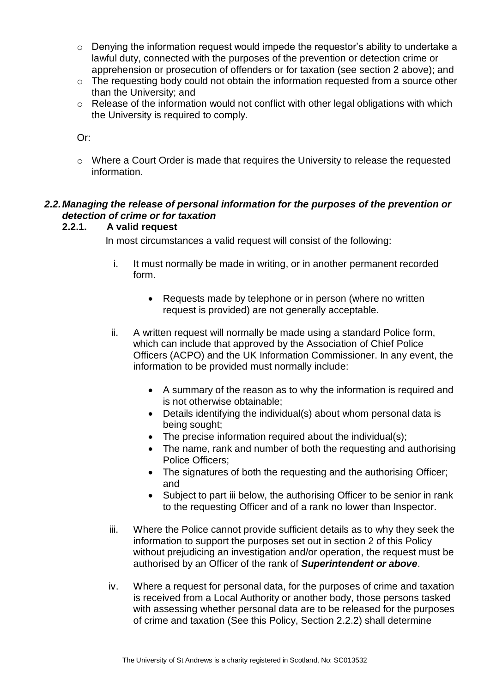- o Denying the information request would impede the requestor's ability to undertake a lawful duty, connected with the purposes of the prevention or detection crime or apprehension or prosecution of offenders or for taxation (see section 2 above); and
- o The requesting body could not obtain the information requested from a source other than the University; and
- o Release of the information would not conflict with other legal obligations with which the University is required to comply.

Or:

o Where a Court Order is made that requires the University to release the requested information.

# *2.2.Managing the release of personal information for the purposes of the prevention or detection of crime or for taxation*

# **2.2.1. A valid request**

In most circumstances a valid request will consist of the following:

- i. It must normally be made in writing, or in another permanent recorded form.
	- Requests made by telephone or in person (where no written request is provided) are not generally acceptable.
- ii. A written request will normally be made using a standard Police form, which can include that approved by the Association of Chief Police Officers (ACPO) and the UK Information Commissioner. In any event, the information to be provided must normally include:
	- A summary of the reason as to why the information is required and is not otherwise obtainable;
	- Details identifying the individual(s) about whom personal data is being sought;
	- The precise information required about the individual(s);
	- The name, rank and number of both the requesting and authorising Police Officers;
	- The signatures of both the requesting and the authorising Officer; and
	- Subject to part iii below, the authorising Officer to be senior in rank to the requesting Officer and of a rank no lower than Inspector.
- iii. Where the Police cannot provide sufficient details as to why they seek the information to support the purposes set out in section 2 of this Policy without prejudicing an investigation and/or operation, the request must be authorised by an Officer of the rank of *Superintendent or above*.
- iv. Where a request for personal data, for the purposes of crime and taxation is received from a Local Authority or another body, those persons tasked with assessing whether personal data are to be released for the purposes of crime and taxation (See this Policy, Section 2.2.2) shall determine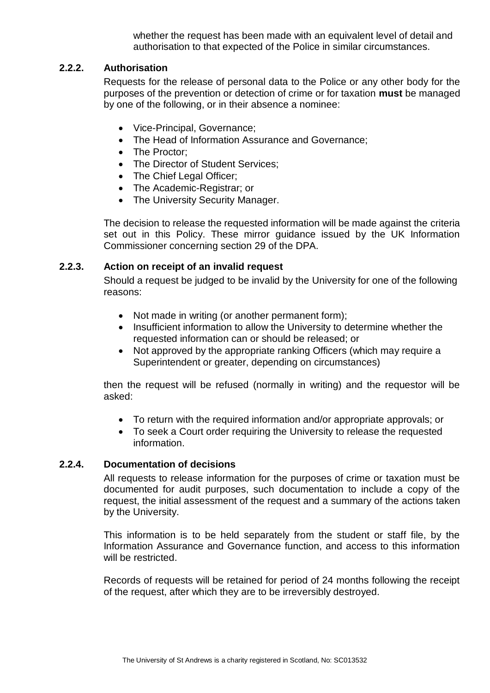whether the request has been made with an equivalent level of detail and authorisation to that expected of the Police in similar circumstances.

## **2.2.2. Authorisation**

Requests for the release of personal data to the Police or any other body for the purposes of the prevention or detection of crime or for taxation **must** be managed by one of the following, or in their absence a nominee:

- Vice-Principal, Governance;
- The Head of Information Assurance and Governance;
- The Proctor:
- The Director of Student Services:
- The Chief Legal Officer;
- The Academic-Registrar; or
- The University Security Manager.

The decision to release the requested information will be made against the criteria set out in this Policy. These mirror guidance issued by the UK Information Commissioner concerning section 29 of the DPA.

# **2.2.3. Action on receipt of an invalid request**

Should a request be judged to be invalid by the University for one of the following reasons:

- Not made in writing (or another permanent form);
- Insufficient information to allow the University to determine whether the requested information can or should be released; or
- Not approved by the appropriate ranking Officers (which may require a Superintendent or greater, depending on circumstances)

then the request will be refused (normally in writing) and the requestor will be asked:

- To return with the required information and/or appropriate approvals; or
- To seek a Court order requiring the University to release the requested information.

## **2.2.4. Documentation of decisions**

All requests to release information for the purposes of crime or taxation must be documented for audit purposes, such documentation to include a copy of the request, the initial assessment of the request and a summary of the actions taken by the University.

This information is to be held separately from the student or staff file, by the Information Assurance and Governance function, and access to this information will be restricted.

Records of requests will be retained for period of 24 months following the receipt of the request, after which they are to be irreversibly destroyed.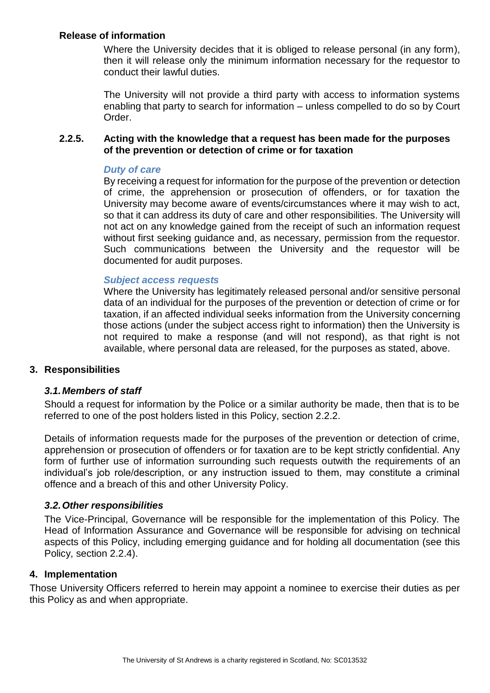## **Release of information**

Where the University decides that it is obliged to release personal (in any form), then it will release only the minimum information necessary for the requestor to conduct their lawful duties.

The University will not provide a third party with access to information systems enabling that party to search for information – unless compelled to do so by Court Order.

### **2.2.5. Acting with the knowledge that a request has been made for the purposes of the prevention or detection of crime or for taxation**

#### *Duty of care*

By receiving a request for information for the purpose of the prevention or detection of crime, the apprehension or prosecution of offenders, or for taxation the University may become aware of events/circumstances where it may wish to act, so that it can address its duty of care and other responsibilities. The University will not act on any knowledge gained from the receipt of such an information request without first seeking guidance and, as necessary, permission from the requestor. Such communications between the University and the requestor will be documented for audit purposes.

#### *Subject access requests*

Where the University has legitimately released personal and/or sensitive personal data of an individual for the purposes of the prevention or detection of crime or for taxation, if an affected individual seeks information from the University concerning those actions (under the subject access right to information) then the University is not required to make a response (and will not respond), as that right is not available, where personal data are released, for the purposes as stated, above.

#### **3. Responsibilities**

#### *3.1.Members of staff*

Should a request for information by the Police or a similar authority be made, then that is to be referred to one of the post holders listed in this Policy, section 2.2.2.

Details of information requests made for the purposes of the prevention or detection of crime, apprehension or prosecution of offenders or for taxation are to be kept strictly confidential. Any form of further use of information surrounding such requests outwith the requirements of an individual's job role/description, or any instruction issued to them, may constitute a criminal offence and a breach of this and other University Policy.

#### *3.2.Other responsibilities*

The Vice-Principal, Governance will be responsible for the implementation of this Policy. The Head of Information Assurance and Governance will be responsible for advising on technical aspects of this Policy, including emerging guidance and for holding all documentation (see this Policy, section 2.2.4).

#### **4. Implementation**

Those University Officers referred to herein may appoint a nominee to exercise their duties as per this Policy as and when appropriate.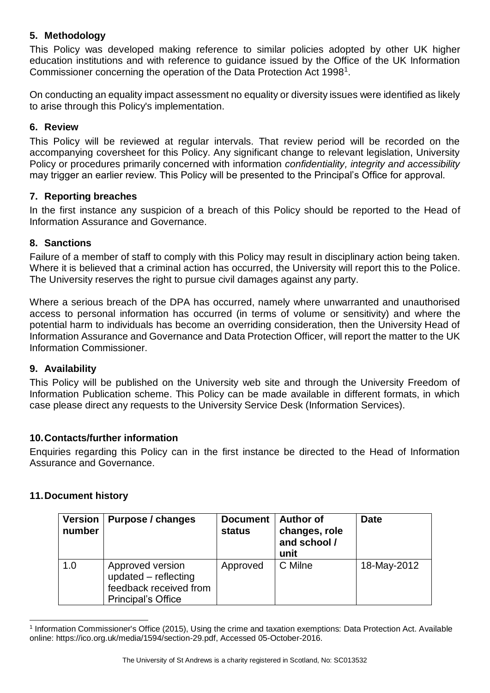# **5. Methodology**

This Policy was developed making reference to similar policies adopted by other UK higher education institutions and with reference to guidance issued by the Office of the UK Information Commissioner concerning the operation of the Data Protection Act 1998<sup>1</sup>.

On conducting an equality impact assessment no equality or diversity issues were identified as likely to arise through this Policy's implementation.

## **6. Review**

This Policy will be reviewed at regular intervals. That review period will be recorded on the accompanying coversheet for this Policy. Any significant change to relevant legislation, University Policy or procedures primarily concerned with information *confidentiality, integrity and accessibility* may trigger an earlier review. This Policy will be presented to the Principal's Office for approval.

### **7. Reporting breaches**

In the first instance any suspicion of a breach of this Policy should be reported to the Head of Information Assurance and Governance.

### **8. Sanctions**

Failure of a member of staff to comply with this Policy may result in disciplinary action being taken. Where it is believed that a criminal action has occurred, the University will report this to the Police. The University reserves the right to pursue civil damages against any party.

Where a serious breach of the DPA has occurred, namely where unwarranted and unauthorised access to personal information has occurred (in terms of volume or sensitivity) and where the potential harm to individuals has become an overriding consideration, then the University Head of Information Assurance and Governance and Data Protection Officer, will report the matter to the UK Information Commissioner.

## **9. Availability**

This Policy will be published on the University web site and through the University Freedom of Information Publication scheme. This Policy can be made available in different formats, in which case please direct any requests to the University Service Desk (Information Services).

## **10.Contacts/further information**

Enquiries regarding this Policy can in the first instance be directed to the Head of Information Assurance and Governance.

#### **11.Document history**

 $\overline{a}$ 

| <b>Version</b><br>number | Purpose / changes                                                                               | <b>Document</b><br><b>status</b> | <b>Author of</b><br>changes, role<br>and school /<br>unit | <b>Date</b> |
|--------------------------|-------------------------------------------------------------------------------------------------|----------------------------------|-----------------------------------------------------------|-------------|
| 1.0                      | Approved version<br>updated - reflecting<br>feedback received from<br><b>Principal's Office</b> | Approved                         | C Milne                                                   | 18-May-2012 |

<sup>1</sup> Information Commissioner's Office (2015), Using the crime and taxation exemptions: Data Protection Act. Available online: https://ico.org.uk/media/1594/section-29.pdf, Accessed 05-October-2016.